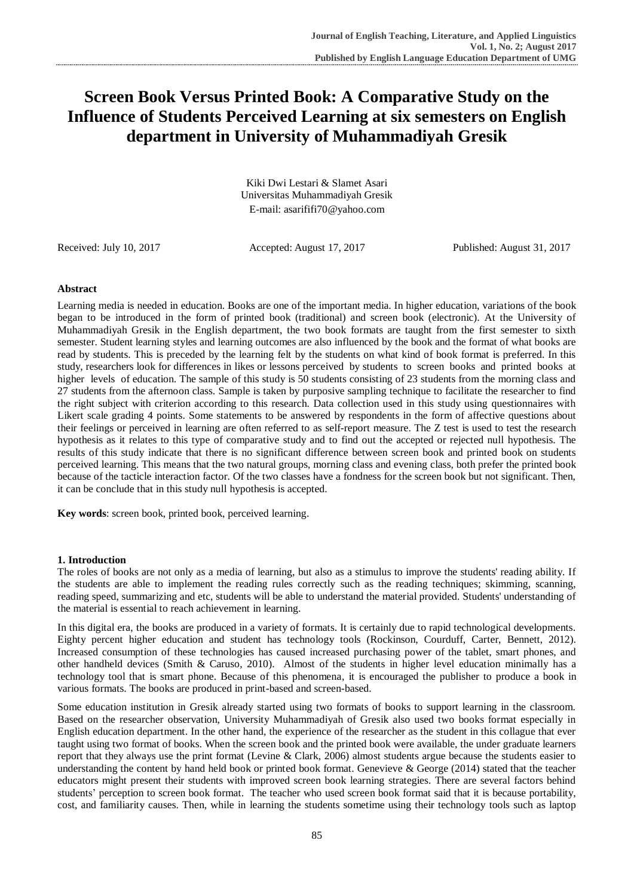# **Screen Book Versus Printed Book: A Comparative Study on the Influence of Students Perceived Learning at six semesters on English department in University of Muhammadiyah Gresik**

Kiki Dwi Lestari & Slamet Asari Universitas Muhammadiyah Gresik E-mail: asarififi70@yahoo.com

Received: July 10, 2017 Accepted: August 17, 2017 Published: August 31, 2017

# **Abstract**

Learning media is needed in education. Books are one of the important media. In higher education, variations of the book began to be introduced in the form of printed book (traditional) and screen book (electronic). At the University of Muhammadiyah Gresik in the English department, the two book formats are taught from the first semester to sixth semester. Student learning styles and learning outcomes are also influenced by the book and the format of what books are read by students. This is preceded by the learning felt by the students on what kind of book format is preferred. In this study, researchers look for differences in likes or lessons perceived by students to screen books and printed books at higher levels of education. The sample of this study is 50 students consisting of 23 students from the morning class and 27 students from the afternoon class. Sample is taken by purposive sampling technique to facilitate the researcher to find the right subject with criterion according to this research. Data collection used in this study using questionnaires with Likert scale grading 4 points. Some statements to be answered by respondents in the form of affective questions about their feelings or perceived in learning are often referred to as self-report measure. The Z test is used to test the research hypothesis as it relates to this type of comparative study and to find out the accepted or rejected null hypothesis. The results of this study indicate that there is no significant difference between screen book and printed book on students perceived learning. This means that the two natural groups, morning class and evening class, both prefer the printed book because of the tacticle interaction factor. Of the two classes have a fondness for the screen book but not significant. Then, it can be conclude that in this study null hypothesis is accepted.

**Key words**: screen book, printed book, perceived learning.

#### **1. Introduction**

The roles of books are not only as a media of learning, but also as a stimulus to improve the students' reading ability. If the students are able to implement the reading rules correctly such as the reading techniques; skimming, scanning, reading speed, summarizing and etc, students will be able to understand the material provided. Students' understanding of the material is essential to reach achievement in learning.

In this digital era, the books are produced in a variety of formats. It is certainly due to rapid technological developments. Eighty percent higher education and student has technology tools (Rockinson, Courduff, Carter, Bennett, 2012). Increased consumption of these technologies has caused increased purchasing power of the tablet, smart phones, and other handheld devices (Smith & Caruso, 2010). Almost of the students in higher level education minimally has a technology tool that is smart phone. Because of this phenomena, it is encouraged the publisher to produce a book in various formats. The books are produced in print-based and screen-based.

Some education institution in Gresik already started using two formats of books to support learning in the classroom. Based on the researcher observation, University Muhammadiyah of Gresik also used two books format especially in English education department. In the other hand, the experience of the researcher as the student in this collague that ever taught using two format of books. When the screen book and the printed book were available, the under graduate learners report that they always use the print format (Levine & Clark, 2006) almost students argue because the students easier to understanding the content by hand held book or printed book format. Genevieve & George (2014) stated that the teacher educators might present their students with improved screen book learning strategies. There are several factors behind students' perception to screen book format. The teacher who used screen book format said that it is because portability, cost, and familiarity causes. Then, while in learning the students sometime using their technology tools such as laptop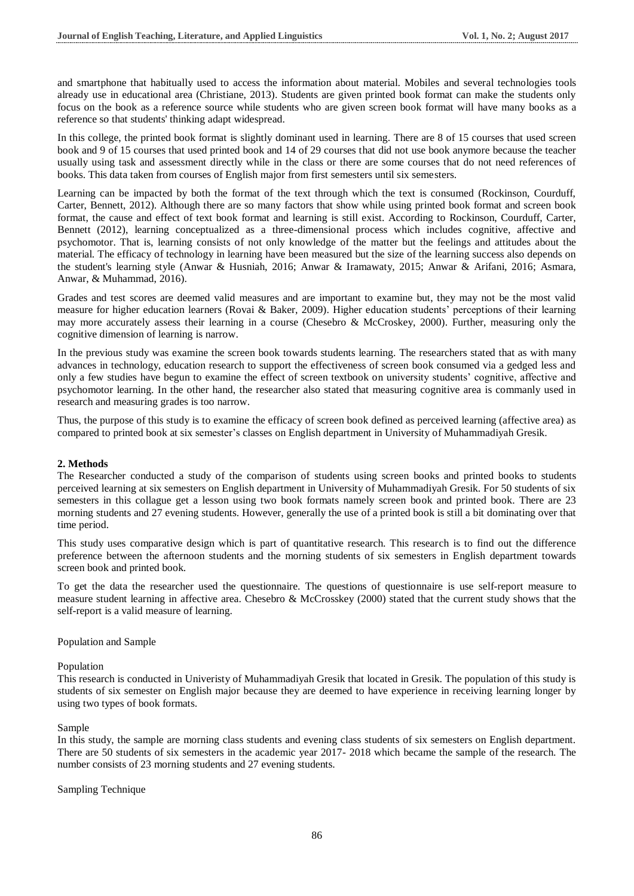and smartphone that habitually used to access the information about material. Mobiles and several technologies tools already use in educational area (Christiane, 2013). Students are given printed book format can make the students only focus on the book as a reference source while students who are given screen book format will have many books as a reference so that students' thinking adapt widespread.

In this college, the printed book format is slightly dominant used in learning. There are 8 of 15 courses that used screen book and 9 of 15 courses that used printed book and 14 of 29 courses that did not use book anymore because the teacher usually using task and assessment directly while in the class or there are some courses that do not need references of books. This data taken from courses of English major from first semesters until six semesters.

Learning can be impacted by both the format of the text through which the text is consumed (Rockinson, Courduff, Carter, Bennett, 2012). Although there are so many factors that show while using printed book format and screen book format, the cause and effect of text book format and learning is still exist. According to Rockinson, Courduff, Carter, Bennett (2012), learning conceptualized as a three-dimensional process which includes cognitive, affective and psychomotor. That is, learning consists of not only knowledge of the matter but the feelings and attitudes about the material. The efficacy of technology in learning have been measured but the size of the learning success also depends on the student's learning style (Anwar & Husniah, 2016; Anwar & Iramawaty, 2015; Anwar & Arifani, 2016; Asmara, Anwar, & Muhammad, 2016).

Grades and test scores are deemed valid measures and are important to examine but, they may not be the most valid measure for higher education learners (Rovai & Baker, 2009). Higher education students' perceptions of their learning may more accurately assess their learning in a course (Chesebro & McCroskey, 2000). Further, measuring only the cognitive dimension of learning is narrow.

In the previous study was examine the screen book towards students learning. The researchers stated that as with many advances in technology, education research to support the effectiveness of screen book consumed via a gedged less and only a few studies have begun to examine the effect of screen textbook on university students' cognitive, affective and psychomotor learning. In the other hand, the researcher also stated that measuring cognitive area is commanly used in research and measuring grades is too narrow.

Thus, the purpose of this study is to examine the efficacy of screen book defined as perceived learning (affective area) as compared to printed book at six semester's classes on English department in University of Muhammadiyah Gresik.

#### **2. Methods**

The Researcher conducted a study of the comparison of students using screen books and printed books to students perceived learning at six semesters on English department in University of Muhammadiyah Gresik. For 50 students of six semesters in this collague get a lesson using two book formats namely screen book and printed book. There are 23 morning students and 27 evening students. However, generally the use of a printed book is still a bit dominating over that time period.

This study uses comparative design which is part of quantitative research. This research is to find out the difference preference between the afternoon students and the morning students of six semesters in English department towards screen book and printed book.

To get the data the researcher used the questionnaire. The questions of questionnaire is use self-report measure to measure student learning in affective area. Chesebro & McCrosskey (2000) stated that the current study shows that the self-report is a valid measure of learning.

#### Population and Sample

#### Population

This research is conducted in Univeristy of Muhammadiyah Gresik that located in Gresik. The population of this study is students of six semester on English major because they are deemed to have experience in receiving learning longer by using two types of book formats.

#### Sample

In this study, the sample are morning class students and evening class students of six semesters on English department. There are 50 students of six semesters in the academic year 2017- 2018 which became the sample of the research. The number consists of 23 morning students and 27 evening students.

#### Sampling Technique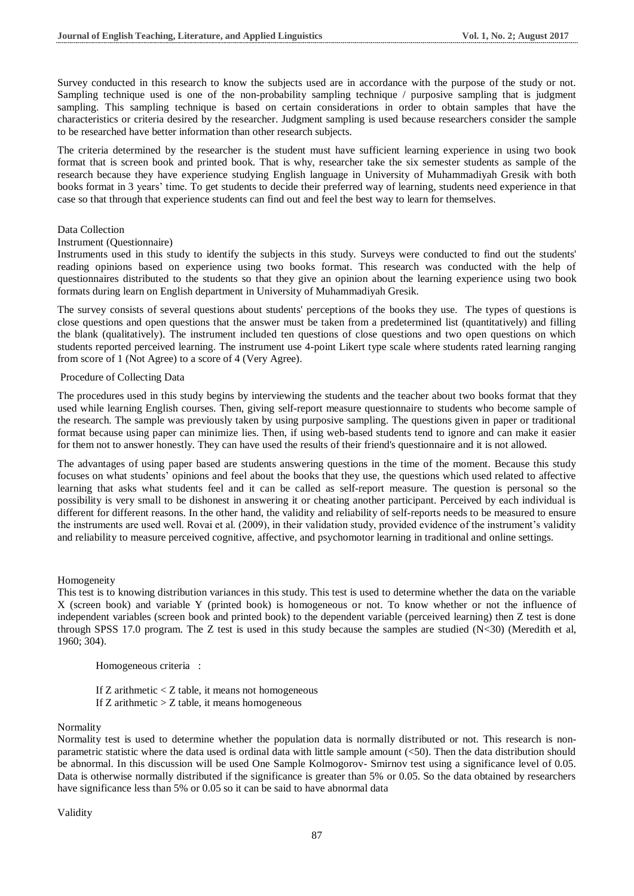Survey conducted in this research to know the subjects used are in accordance with the purpose of the study or not. Sampling technique used is one of the non-probability sampling technique / purposive sampling that is judgment sampling. This sampling technique is based on certain considerations in order to obtain samples that have the characteristics or criteria desired by the researcher. Judgment sampling is used because researchers consider the sample to be researched have better information than other research subjects.

The criteria determined by the researcher is the student must have sufficient learning experience in using two book format that is screen book and printed book. That is why, researcher take the six semester students as sample of the research because they have experience studying English language in University of Muhammadiyah Gresik with both books format in 3 years' time. To get students to decide their preferred way of learning, students need experience in that case so that through that experience students can find out and feel the best way to learn for themselves.

#### Data Collection

#### Instrument (Questionnaire)

Instruments used in this study to identify the subjects in this study. Surveys were conducted to find out the students' reading opinions based on experience using two books format. This research was conducted with the help of questionnaires distributed to the students so that they give an opinion about the learning experience using two book formats during learn on English department in University of Muhammadiyah Gresik.

The survey consists of several questions about students' perceptions of the books they use. The types of questions is close questions and open questions that the answer must be taken from a predetermined list (quantitatively) and filling the blank (qualitatively). The instrument included ten questions of close questions and two open questions on which students reported perceived learning. The instrument use 4-point Likert type scale where students rated learning ranging from score of 1 (Not Agree) to a score of 4 (Very Agree).

#### Procedure of Collecting Data

The procedures used in this study begins by interviewing the students and the teacher about two books format that they used while learning English courses. Then, giving self-report measure questionnaire to students who become sample of the research. The sample was previously taken by using purposive sampling. The questions given in paper or traditional format because using paper can minimize lies. Then, if using web-based students tend to ignore and can make it easier for them not to answer honestly. They can have used the results of their friend's questionnaire and it is not allowed.

The advantages of using paper based are students answering questions in the time of the moment. Because this study focuses on what students' opinions and feel about the books that they use, the questions which used related to affective learning that asks what students feel and it can be called as self-report measure. The question is personal so the possibility is very small to be dishonest in answering it or cheating another participant. Perceived by each individual is different for different reasons. In the other hand, the validity and reliability of self-reports needs to be measured to ensure the instruments are used well. Rovai et al. (2009), in their validation study, provided evidence of the instrument's validity and reliability to measure perceived cognitive, affective, and psychomotor learning in traditional and online settings.

Homogeneity

This test is to knowing distribution variances in this study. This test is used to determine whether the data on the variable X (screen book) and variable Y (printed book) is homogeneous or not. To know whether or not the influence of independent variables (screen book and printed book) to the dependent variable (perceived learning) then Z test is done through SPSS 17.0 program. The Z test is used in this study because the samples are studied  $(N < 30)$  (Meredith et al, 1960; 304).

Homogeneous criteria :

If  $Z$  arithmetic  $Z$  table, it means not homogeneous If  $Z$  arithmetic  $Z$  table, it means homogeneous

#### Normality

Normality test is used to determine whether the population data is normally distributed or not. This research is nonparametric statistic where the data used is ordinal data with little sample amount (<50). Then the data distribution should be abnormal. In this discussion will be used One Sample Kolmogorov- Smirnov test using a significance level of 0.05. Data is otherwise normally distributed if the significance is greater than 5% or 0.05. So the data obtained by researchers have significance less than 5% or 0.05 so it can be said to have abnormal data

Validity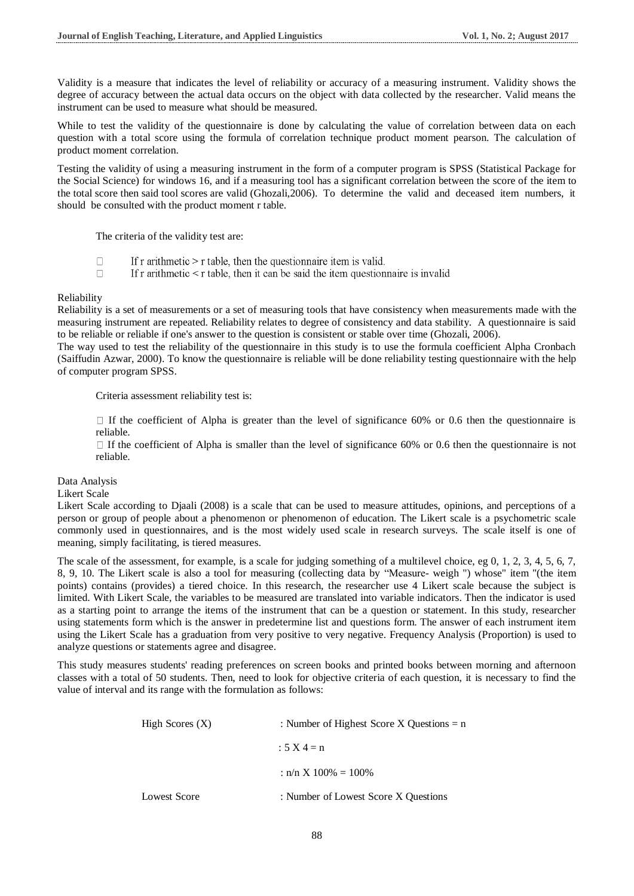Validity is a measure that indicates the level of reliability or accuracy of a measuring instrument. Validity shows the degree of accuracy between the actual data occurs on the object with data collected by the researcher. Valid means the instrument can be used to measure what should be measured.

While to test the validity of the questionnaire is done by calculating the value of correlation between data on each question with a total score using the formula of correlation technique product moment pearson. The calculation of product moment correlation.

Testing the validity of using a measuring instrument in the form of a computer program is SPSS (Statistical Package for the Social Science) for windows 16, and if a measuring tool has a significant correlation between the score of the item to the total score then said tool scores are valid (Ghozali,2006). To determine the valid and deceased item numbers, it should be consulted with the product moment r table.

The criteria of the validity test are:

- If  $r$  arithmetic  $\geq r$  table, then the question aire item is valid.  $\Box$
- $\Box$ If r arithmetic  $\leq r$  table, then it can be said the item questionnaire is invalid

#### Reliability

Reliability is a set of measurements or a set of measuring tools that have consistency when measurements made with the measuring instrument are repeated. Reliability relates to degree of consistency and data stability. A questionnaire is said to be reliable or reliable if one's answer to the question is consistent or stable over time (Ghozali, 2006).

The way used to test the reliability of the questionnaire in this study is to use the formula coefficient Alpha Cronbach (Saiffudin Azwar, 2000). To know the questionnaire is reliable will be done reliability testing questionnaire with the help of computer program SPSS.

Criteria assessment reliability test is:

 $\Box$  If the coefficient of Alpha is greater than the level of significance 60% or 0.6 then the questionnaire is reliable.

 $\Box$  If the coefficient of Alpha is smaller than the level of significance 60% or 0.6 then the questionnaire is not reliable.

Data Analysis

#### Likert Scale

Likert Scale according to Djaali (2008) is a scale that can be used to measure attitudes, opinions, and perceptions of a person or group of people about a phenomenon or phenomenon of education. The Likert scale is a psychometric scale commonly used in questionnaires, and is the most widely used scale in research surveys. The scale itself is one of meaning, simply facilitating, is tiered measures.

The scale of the assessment, for example, is a scale for judging something of a multilevel choice, eg 0, 1, 2, 3, 4, 5, 6, 7, 8, 9, 10. The Likert scale is also a tool for measuring (collecting data by "Measure- weigh ") whose" item "(the item points) contains (provides) a tiered choice. In this research, the researcher use 4 Likert scale because the subject is limited. With Likert Scale, the variables to be measured are translated into variable indicators. Then the indicator is used as a starting point to arrange the items of the instrument that can be a question or statement. In this study, researcher using statements form which is the answer in predetermine list and questions form. The answer of each instrument item using the Likert Scale has a graduation from very positive to very negative. Frequency Analysis (Proportion) is used to analyze questions or statements agree and disagree.

This study measures students' reading preferences on screen books and printed books between morning and afternoon classes with a total of 50 students. Then, need to look for objective criteria of each question, it is necessary to find the value of interval and its range with the formulation as follows:

| High Scores $(X)$ | : Number of Highest Score X Questions = $n$ |  |
|-------------------|---------------------------------------------|--|
|                   | $: 5 \times 4 = n$                          |  |
|                   | : $n/n \times 100\% = 100\%$                |  |
| Lowest Score      | : Number of Lowest Score X Questions        |  |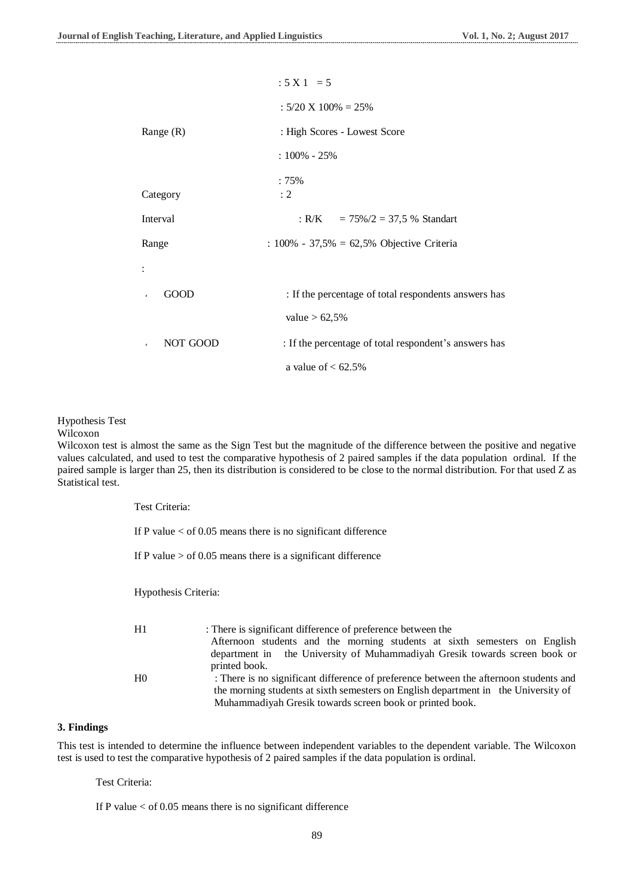|                          | $: 5 X 1 = 5$                                         |  |
|--------------------------|-------------------------------------------------------|--|
|                          | $: 5/20 \times 100\% = 25\%$                          |  |
| Range $(R)$              | : High Scores - Lowest Score                          |  |
|                          | $:100\% - 25\%$                                       |  |
| Category                 | $:75\%$<br>: 2                                        |  |
|                          |                                                       |  |
| Interval                 | : R/K = $75\%/2 = 37.5$ % Standart                    |  |
| Range                    | : $100\% - 37,5\% = 62,5\%$ Objective Criteria        |  |
|                          |                                                       |  |
| GOOD<br>$\checkmark$     | : If the percentage of total respondents answers has  |  |
|                          | value $> 62,5%$                                       |  |
| NOT GOOD<br>$\checkmark$ | : If the percentage of total respondent's answers has |  |
|                          | a value of $< 62.5\%$                                 |  |

Hypothesis Test

#### Wilcoxon

Wilcoxon test is almost the same as the Sign Test but the magnitude of the difference between the positive and negative values calculated, and used to test the comparative hypothesis of 2 paired samples if the data population ordinal. If the paired sample is larger than 25, then its distribution is considered to be close to the normal distribution. For that used Z as Statistical test.

| Test Criteria:       |                                                                                                                                                                             |
|----------------------|-----------------------------------------------------------------------------------------------------------------------------------------------------------------------------|
|                      | If P value $<$ of 0.05 means there is no significant difference                                                                                                             |
|                      | If P value $>$ of 0.05 means there is a significant difference                                                                                                              |
| Hypothesis Criteria: |                                                                                                                                                                             |
| H1                   | : There is significant difference of preference between the<br>Afternoon students and the morning students at sixth semesters on English                                    |
|                      | department in the University of Muhammadiyah Gresik towards screen book or<br>printed book.                                                                                 |
| H <sub>0</sub>       | : There is no significant difference of preference between the afternoon students and<br>the morning students at sixth semesters on English department in the University of |
|                      | Muhammadiyah Gresik towards screen book or printed book.                                                                                                                    |

#### **3. Findings**

This test is intended to determine the influence between independent variables to the dependent variable. The Wilcoxon test is used to test the comparative hypothesis of 2 paired samples if the data population is ordinal.

Test Criteria:

If P value < of 0.05 means there is no significant difference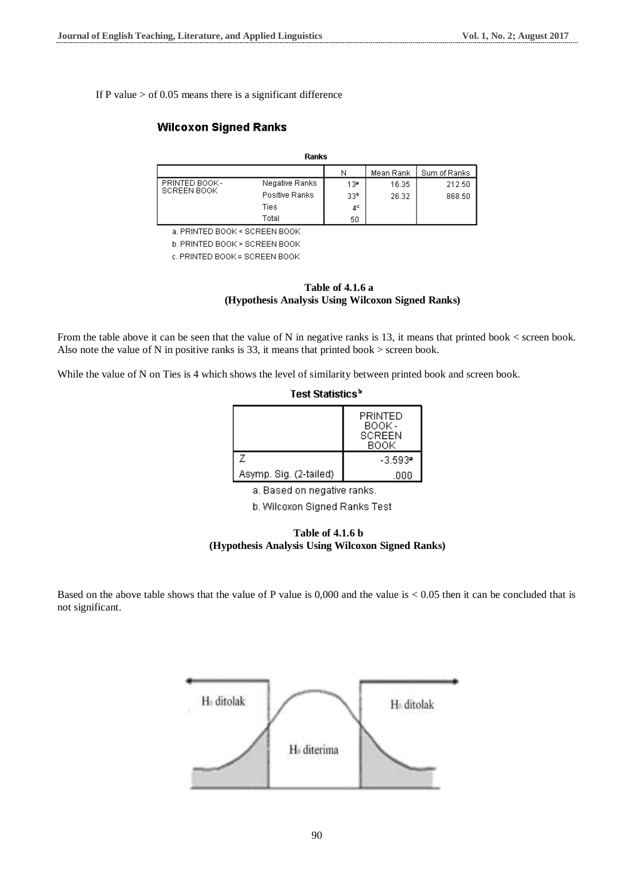If P value  $>$  of 0.05 means there is a significant difference

# **Wilcoxon Signed Ranks**

| Ranks                         |                |                 |           |              |  |
|-------------------------------|----------------|-----------------|-----------|--------------|--|
|                               |                | Ν               | Mean Rank | Sum of Ranks |  |
| PRINTED BOOK -<br>SCREEN BOOK | Negative Ranks | 13ª             | 16.35     | 212.50       |  |
|                               | Positive Ranks | 33 <sup>b</sup> | 26.32     | 868.50       |  |
|                               | Ties           | $4^{\circ}$     |           |              |  |
|                               | Total          | 50              |           |              |  |

a. PRINTED BOOK < SCREEN BOOK

b. PRINTED BOOK > SCREEN BOOK

c. PRINTED BOOK = SCREEN BOOK



From the table above it can be seen that the value of N in negative ranks is 13, it means that printed book < screen book. Also note the value of N in positive ranks is 33, it means that printed book > screen book.

While the value of N on Ties is 4 which shows the level of similarity between printed book and screen book.

| Test Statistics°       |                                           |  |  |
|------------------------|-------------------------------------------|--|--|
|                        | PRINTED<br>BOOK-<br><b>SCREEN</b><br>BOOK |  |  |
| 7                      | $-3.593$ <sup>=</sup>                     |  |  |
| Asymp. Sig. (2-tailed) | .000                                      |  |  |

a. Based on negative ranks.

b. Wilcoxon Signed Ranks Test



Based on the above table shows that the value of P value is  $0.000$  and the value is  $< 0.05$  then it can be concluded that is not significant.

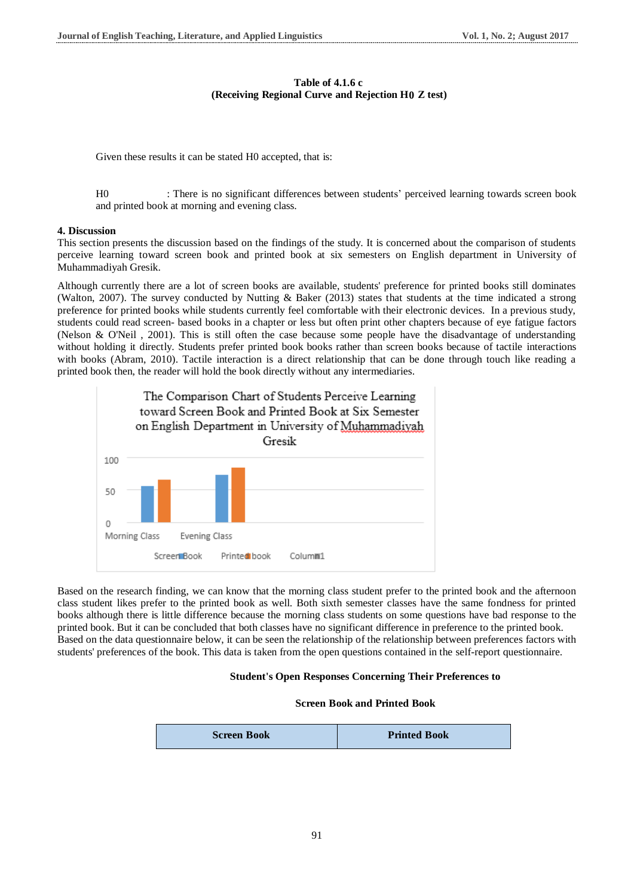## **Table of 4.1.6 c (Receiving Regional Curve and Rejection H0 Z test)**

Given these results it can be stated H0 accepted, that is:

H0 : There is no significant differences between students' perceived learning towards screen book and printed book at morning and evening class.

### **4. Discussion**

This section presents the discussion based on the findings of the study. It is concerned about the comparison of students perceive learning toward screen book and printed book at six semesters on English department in University of Muhammadiyah Gresik.

Although currently there are a lot of screen books are available, students' preference for printed books still dominates (Walton, 2007). The survey conducted by Nutting & Baker (2013) states that students at the time indicated a strong preference for printed books while students currently feel comfortable with their electronic devices. In a previous study, students could read screen- based books in a chapter or less but often print other chapters because of eye fatigue factors (Nelson & O'Neil, 2001). This is still often the case because some people have the disadvantage of understanding without holding it directly. Students prefer printed book books rather than screen books because of tactile interactions with books (Abram, 2010). Tactile interaction is a direct relationship that can be done through touch like reading a printed book then, the reader will hold the book directly without any intermediaries.



Based on the research finding, we can know that the morning class student prefer to the printed book and the afternoon class student likes prefer to the printed book as well. Both sixth semester classes have the same fondness for printed books although there is little difference because the morning class students on some questions have bad response to the printed book. But it can be concluded that both classes have no significant difference in preference to the printed book. Based on the data questionnaire below, it can be seen the relationship of the relationship between preferences factors with students' preferences of the book. This data is taken from the open questions contained in the self-report questionnaire.

#### **Student's Open Responses Concerning Their Preferences to**

#### **Screen Book and Printed Book**

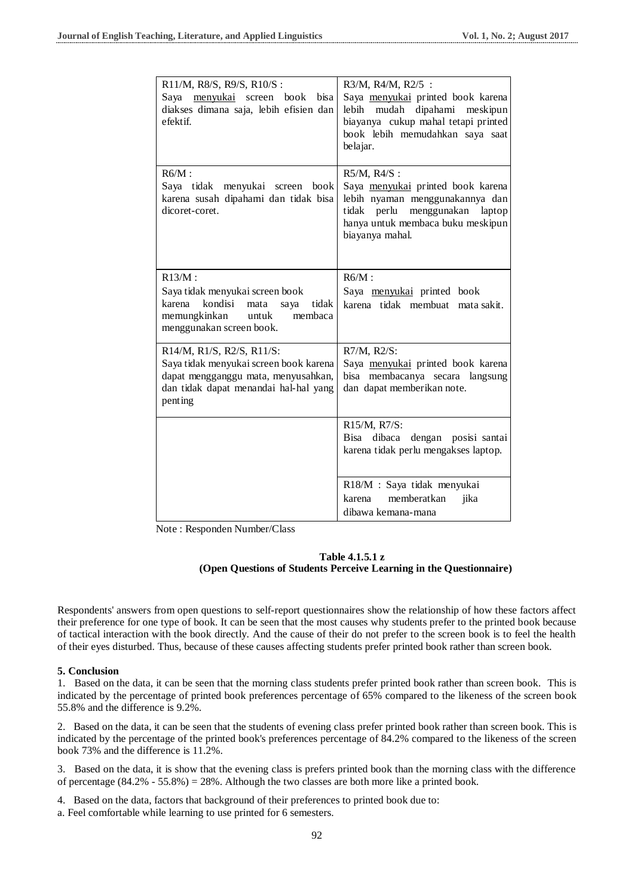| R11/M, R8/S, R9/S, R10/S:<br>Saya menyukai screen book bisa<br>diakses dimana saja, lebih efisien dan<br>efektif.                                              | R3/M, R4/M, R2/5 :<br>Saya menyukai printed book karena<br>mudah dipahami meskipun<br>lebih<br>biayanya cukup mahal tetapi printed<br>book lebih memudahkan saya saat<br>belajar. |
|----------------------------------------------------------------------------------------------------------------------------------------------------------------|-----------------------------------------------------------------------------------------------------------------------------------------------------------------------------------|
| $R6/M$ :<br>Saya tidak menyukai screen<br>book<br>karena susah dipahami dan tidak bisa<br>dicoret-coret.                                                       | R5/M, R4/S:<br>Saya menyukai printed book karena<br>lebih nyaman menggunakannya dan<br>tidak perlu menggunakan laptop<br>hanya untuk membaca buku meskipun<br>biayanya mahal.     |
| $R13/M$ :<br>Saya tidak menyukai screen book<br>karena<br>kondisi<br>tidak<br>mata<br>saya<br>memungkinkan<br>untuk<br>membaca<br>menggunakan screen book.     | $R6/M$ :<br>Saya menyukai printed book<br>karena tidak membuat<br>mata sakit.                                                                                                     |
| R14/M, R1/S, R2/S, R11/S:<br>Saya tidak menyukai screen book karena<br>dapat mengganggu mata, menyusahkan,<br>dan tidak dapat menandai hal-hal yang<br>penting | R7/M, R2/S:<br>Saya menyukai printed book karena<br>bisa membacanya secara langsung<br>dan dapat memberikan note.                                                                 |
|                                                                                                                                                                | R15/M, R7/S:<br>Bisa dibaca dengan posisi santai<br>karena tidak perlu mengakses laptop.                                                                                          |
|                                                                                                                                                                | R18/M : Saya tidak menyukai<br>memberatkan<br>jika<br>karena<br>dibawa kemana-mana                                                                                                |

Note : Responden Number/Class

# **Table 4.1.5.1 z (Open Questions of Students Perceive Learning in the Questionnaire)**

Respondents' answers from open questions to self-report questionnaires show the relationship of how these factors affect their preference for one type of book. It can be seen that the most causes why students prefer to the printed book because of tactical interaction with the book directly. And the cause of their do not prefer to the screen book is to feel the health of their eyes disturbed. Thus, because of these causes affecting students prefer printed book rather than screen book.

#### **5. Conclusion**

1. Based on the data, it can be seen that the morning class students prefer printed book rather than screen book. This is indicated by the percentage of printed book preferences percentage of 65% compared to the likeness of the screen book 55.8% and the difference is 9.2%.

2. Based on the data, it can be seen that the students of evening class prefer printed book rather than screen book. This is indicated by the percentage of the printed book's preferences percentage of 84.2% compared to the likeness of the screen book 73% and the difference is 11.2%.

3. Based on the data, it is show that the evening class is prefers printed book than the morning class with the difference of percentage  $(84.2\% - 55.8\%) = 28\%$ . Although the two classes are both more like a printed book.

- 4. Based on the data, factors that background of their preferences to printed book due to:
- a. Feel comfortable while learning to use printed for 6 semesters.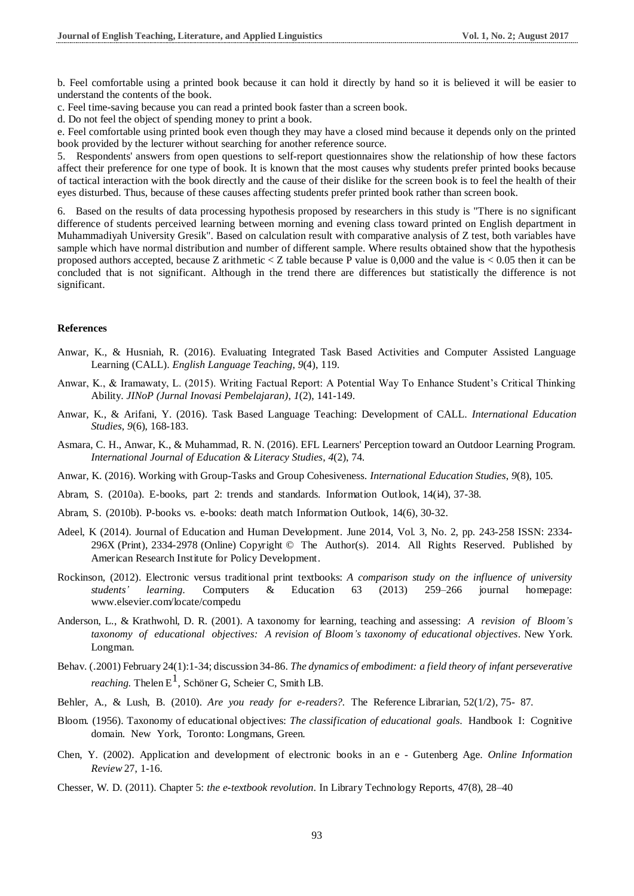b. Feel comfortable using a printed book because it can hold it directly by hand so it is believed it will be easier to understand the contents of the book.

c. Feel time-saving because you can read a printed book faster than a screen book.

d. Do not feel the object of spending money to print a book.

e. Feel comfortable using printed book even though they may have a closed mind because it depends only on the printed book provided by the lecturer without searching for another reference source.

5. Respondents' answers from open questions to self-report questionnaires show the relationship of how these factors affect their preference for one type of book. It is known that the most causes why students prefer printed books because of tactical interaction with the book directly and the cause of their dislike for the screen book is to feel the health of their eyes disturbed. Thus, because of these causes affecting students prefer printed book rather than screen book.

6. Based on the results of data processing hypothesis proposed by researchers in this study is "There is no significant difference of students perceived learning between morning and evening class toward printed on English department in Muhammadiyah University Gresik". Based on calculation result with comparative analysis of Z test, both variables have sample which have normal distribution and number of different sample. Where results obtained show that the hypothesis proposed authors accepted, because Z arithmetic  $\langle Z \rangle$  table because P value is 0,000 and the value is  $\langle 0.05 \rangle$  then it can be concluded that is not significant. Although in the trend there are differences but statistically the difference is not significant.

#### **References**

- Anwar, K., & Husniah, R. (2016). Evaluating Integrated Task Based Activities and Computer Assisted Language Learning (CALL). *English Language Teaching*, *9*(4), 119.
- Anwar, K., & Iramawaty, L. (2015). Writing Factual Report: A Potential Way To Enhance Student's Critical Thinking Ability. *JINoP (Jurnal Inovasi Pembelajaran)*, *1*(2), 141-149.
- Anwar, K., & Arifani, Y. (2016). Task Based Language Teaching: Development of CALL. *International Education Studies*, *9*(6), 168-183.
- Asmara, C. H., Anwar, K., & Muhammad, R. N. (2016). EFL Learners' Perception toward an Outdoor Learning Program. *International Journal of Education & Literacy Studies*, *4*(2), 74.
- Anwar, K. (2016). Working with Group-Tasks and Group Cohesiveness. *International Education Studies*, *9*(8), 105.
- Abram, S. (2010a). E-books, part 2: trends and standards. Information Outlook, 14(i4), 37-38.
- Abram, S. (2010b). P-books vs. e-books: death match Information Outlook, 14(6), 30-32.
- Adeel, K (2014). Journal of Education and Human Development. June 2014, Vol. 3, No. 2, pp. 243-258 ISSN: 2334- 296X (Print), 2334-2978 (Online) Copyright © The Author(s). 2014. All Rights Reserved. Published by American Research Institute for Policy Development.
- Rockinson, (2012). Electronic versus traditional print textbooks: *A comparison study on the influence of university students' learning.* Computers & Education 63 (2013) 259–266 journal homepage: [www.elsevier.com/locate/compedu](http://www.elsevier.com/locate/compedu)
- Anderson, L., & Krathwohl, D. R. (2001). A taxonomy for learning, teaching and assessing: *A revision of Bloom's taxonomy of educational objectives: A revision of Bloom's taxonomy of educational objectives*. New York. Longman.
- Behav. [\(.2001\)F](https://www.ncbi.nlm.nih.gov/pubmed/11515285)ebruary 24(1):1-34; discussion 34-86. *The dynamics of embodiment: a field theory of infant perseverative reaching.* [Thelen](https://www.ncbi.nlm.nih.gov/pubmed/?term=Thelen%20E%5BAuthor%5D&cauthor=true&cauthor_uid=11515285)  $E^1$ , [Schöner](https://www.ncbi.nlm.nih.gov/pubmed/?term=Sch%C3%B6ner%20G%5BAuthor%5D&cauthor=true&cauthor_uid=11515285) G, [Scheier](https://www.ncbi.nlm.nih.gov/pubmed/?term=Scheier%20C%5BAuthor%5D&cauthor=true&cauthor_uid=11515285) [C,](https://www.ncbi.nlm.nih.gov/pubmed/?term=Scheier%20C%5BAuthor%5D&cauthor=true&cauthor_uid=11515285) [Smith](https://www.ncbi.nlm.nih.gov/pubmed/?term=Smith%20LB%5BAuthor%5D&cauthor=true&cauthor_uid=11515285) LB.
- Behler, A., & Lush, B. (2010). *Are you ready for e-readers?.* The Reference Librarian, 52(1/2), 75- 87.
- Bloom. (1956). Taxonomy of educational objectives: *The classification of educational goals*. Handbook I: Cognitive domain. New York, Toronto: Longmans, Green.
- Chen, Y. (2002). Application and development of electronic books in an e Gutenberg Age. *Online Information Review* 27, 1-16.
- Chesser, W. D. (2011). Chapter 5: *the e-textbook revolution*. In Library Technology Reports, 47(8), 28–40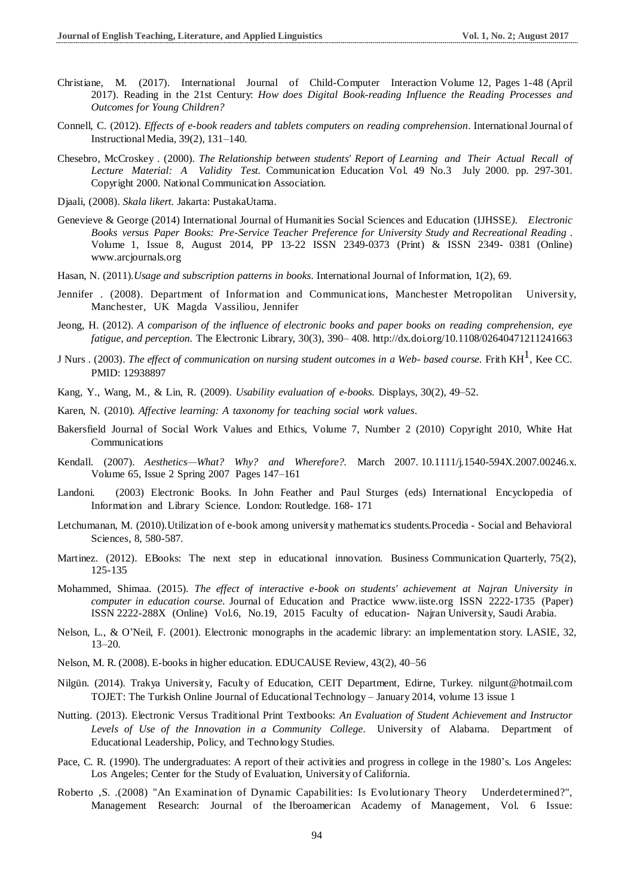- Christiane, M. (2017). International Journal of Child-Computer Interaction Volume 12, Pages 1-48 (April 2017). Reading in the 21st Century: *How does Digital Book-reading Influence the Reading Processes and Outcomes for Young Children?*
- Connell, C. (2012). *Effects of e-book readers and tablets computers on reading comprehension*. InternationalJournal of Instructional Media, 39(2), 131–140.
- Chesebro, McCroskey . (2000). *The Relationship between students' Report of Learning and Their Actual Recall of Lecture Material: A Validity Test.* Communication Education Vol. 49 No.3 July 2000. pp. 297-301. Copyright 2000. National Communication Association.
- Djaali, (2008). *Skala likert.* Jakarta: PustakaUtama.
- Genevieve & George (2014) International Journal of Humanities Social Sciences and Education (IJHSSE*). Electronic Books versus Paper Books: Pre-Service Teacher Preference for University Study and Recreational Reading* . Volume 1, Issue 8, August 2014, PP 13-22 ISSN 2349-0373 (Print) & ISSN 2349- 0381 (Online) [www.arcjournals.org](http://www.arcjournals.org/)
- Hasan, N. (2011).*Usage and subscription patterns in books*. International Journal of Information, 1(2), 69.
- [Jennifer](http://www.emeraldinsight.com/author/Rowley%2C+Jennifer) . (2008). Department of Information and Communications, Manchester Metropolitan University, Manchester, UK [Magda Vassiliou,](http://www.emeraldinsight.com/author/Vassiliou%2C+Magda) [Jennifer](http://www.emeraldinsight.com/author/Vassiliou%2C+Magda)
- Jeong, H. (2012). *A comparison of the influence of electronic books and paper books on reading comprehension, eye fatigue, and perception.* The Electronic Library, 30(3), 390– 408. <http://dx.doi.org/10.1108/02640471211241663>
- [J Nurs](https://www.ncbi.nlm.nih.gov/pubmed/12938897) . (2003). *The effect of communication on nursing student outcomes in a Web- based course.* [Frith](https://www.ncbi.nlm.nih.gov/pubmed/?term=Frith%20KH%5BAuthor%5D&cauthor=true&cauthor_uid=12938897) KH 1 , Kee [CC.](https://www.ncbi.nlm.nih.gov/pubmed/?term=Kee%20CC%5BAuthor%5D&cauthor=true&cauthor_uid=12938897) [PM](https://www.ncbi.nlm.nih.gov/pubmed/?term=Kee%20CC%5BAuthor%5D&cauthor=true&cauthor_uid=12938897)ID: 12938897
- Kang, Y., Wang, M., & Lin, R. (2009). *Usability evaluation of e-books*. Displays, 30(2), 49–52.
- Karen, N. (2010). *Affective learning: A taxonomy for teaching social work values*.
- Bakersfield Journal of Social Work Values and Ethics, Volume 7, Number 2 (2010) Copyright 2010, White Hat Communications
- Kendall. (2007). *Aesthetics—What? Why? and Wherefore?.* March 2007. 10.1111/j.1540-594X.2007.00246.x. Volume 65, Issue 2 Spring 2007 Pages 147–161
- Landoni. (2003) Electronic Books. In John Feather and Paul Sturges (eds) International Encyclopedia of Information and Library Science. London: Routledge. 168- 171
- Letchumanan, M. (2010).Utilization of e-book among university mathematics students.Procedia Social and Behavioral Sciences, 8, 580-587.
- Martinez. (2012). EBooks: The next step in educational innovation. Business Communication Quarterly, 75(2), 125-135
- Mohammed, Shimaa. (2015). *The effect of interactive e-book on students' achievement at Najran University in computer in education course*. Journal of Education and Practice [www.iiste.org](http://www.iiste.org/) ISSN 2222-1735 (Paper) ISSN 2222-288X (Online) Vol.6, No.19, 2015 Faculty of education- Najran University, Saudi Arabia.
- Nelson, L., & O'Neil, F. (2001). Electronic monographs in the academic library: an implementation story. LASIE, 32, 13–20.
- Nelson, M. R. (2008). E-books in higher education. EDUCAUSE Review, 43(2), 40–56
- Nilgün. (2014). Trakya University, Faculty of Education, CEIT Department, Edirne, Turkey. [nilgunt@hotmail.com](mailto:nilgunt@hotmail.com)  [TO](mailto:nilgunt@hotmail.com)JET: The Turkish Online Journal of Educational Technology – January 2014, volume 13 issue 1
- Nutting. (2013). Electronic Versus Traditional Print Textbooks: *An Evaluation of Student Achievement and Instructor Levels of Use of the Innovation in a Community College*. University of Alabama. Department of Educational Leadership, Policy, and Technology Studies.
- Pace, C. R. (1990). The undergraduates: A report of their activities and progress in college in the 1980's. Los Angeles: Los Angeles; Center for the Study of Evaluation, University of California.
- [Roberto](http://www.emeraldinsight.com/author/Vassolo%2C+Roberto+S) ,S. .(2008) "An Examination of Dynamic Capabilities: Is Evolutionary Theory Underdetermined?", Management Research: Journal of the Iberoamerican Academy of Management, Vol. 6 Issue: